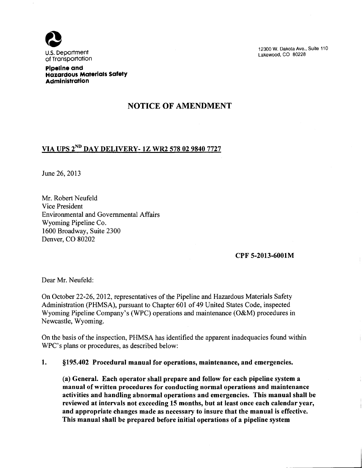

12300W. Dakota Ave., Suite 110 Lakewood, CO 80228

**Pipeline and Hazardous Materials Safety Administration** 

## NOTICE OF AMENDMENT

# VIA UPS 2N° DAY DELIVERY- 1Z WR2 578 02 9840 7727

June 26, 2013

Mr. Robert Neufeld Vice President Environmental and Governmental Affairs Wyoming Pipeline Co. 1600 Broadway, Suite 2300 Denver, CO 80202

#### CPF 5-2013-6001M

Dear Mr. Neufeld:

On October 22-26, 2012, representatives of the Pipeline and Hazardous Materials Safety Administration (PHMSA), pursuant to Chapter 601 of 49 United States Code, inspected Wyoming Pipeline Company's (WPC) operations and maintenance (O&M) procedures in Newcastle, Wyoming.

On the basis of the inspection, PHMSA has identified the apparent inadequacies found within WPC's plans or procedures, as described below:

### 1. §195.402 Procedural manual for operations, maintenance, and emergencies.

(a) General. Each operator shall prepare and follow for each pipeline system a manual of written procedures for conducting normal operations and maintenance activities and handling abnormal operations and emergencies. This manual shall be reviewed at intervals not exceeding 15 months, but at least once each calendar year, and appropriate changes made as necessary to insure that the manual is effective. This manual shall be prepared before initial operations of a pipeline system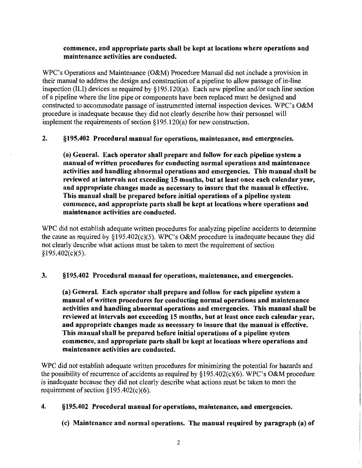### commence, and appropriate parts shall be kept at locations where operations and maintenance activities are conducted.

WPC's Operations and Maintenance (O&M) Procedure Manual did not include a provision in their manual to address the design and construction of a pipeline to allow passage of in-line inspection (ILI) devices as required by  $\S 195.120(a)$ . Each new pipeline and/or each line section of a pipeline where the line pipe or components have been replaced must be designed and constructed to accommodate passage of instrumented internal inspection devices. WPC's O&M procedure is inadequate because they did not clearly describe how their personnel will implement the requirements of section§ 195.120(a) for new construction.

2. §195.402 Procedural manual for operations, maintenance, and emergencies.

(a) General. Each operator shall prepare and follow for each pipeline system a manual of written procedures for conducting normal operations and maintenance activities and handling abnormal operations and emergencies. This manual shall be reviewed at intervals not exceeding 15 months, but at least once each calendar year, and appropriate changes made as necessary to insure that the manual is effective. This manual shall be prepared before initial operations of a pipeline system commence, and appropriate parts shall be kept at locations where operations and maintenance activities are conducted.

WPC did not establish adequate written procedures for analyzing pipeline accidents to determine the cause as required by §195.402(c)(5). WPC's O&M procedure is inadequate because they did not clearly describe what actions must be taken to meet the requirement of section §195.402(c)(5).

3. §195.402 Procedural manual for operations, maintenance, and emergencies.

(a) General. Each operator shall prepare and follow for each pipeline system a manual of written procedures for conducting normal operations and maintenance activities and handling abnormal operations and emergencies. This manual shall be reviewed at intervals not exceeding 15 months, but at least once each calendar year, and appropriate changes made as necessary to insure that the manual is effective. This manual shall be prepared before initial operations of a pipeline system commence, and appropriate parts shall be kept at locations where operations and maintenance activities are conducted.

WPC did not establish adequate written procedures for minimizing the potential for hazards and the possibility of recurrence of accidents as required by  $\S195.402(c)(6)$ . WPC's O&M procedure is inadequate because they did not clearly describe what actions must be taken to meet the requirement of section  $\S 195.402(c)(6)$ .

### 4. §195.402 Procedural manual for operations, maintenance, and emergencies.

(c) Maintenance and normal operations. The manual required by paragraph (a) of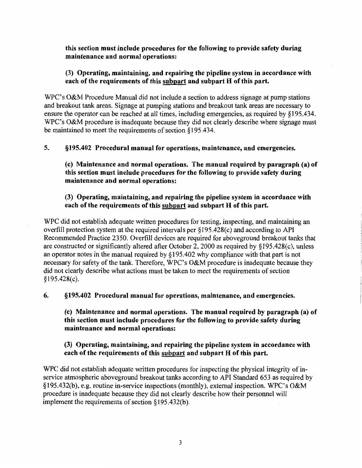this section must include procedures for the following to provide safety during maintenance and normal operations:

### (3) Operating, maintaining, and repairing the pipeline system in accordance with each of the requirements of this subpart and subpart H of this part.

WPC's O&M Procedure Manual did not include a section to address signage at pump stations and breakout tank areas. Signage at pumping stations and breakout tank areas are necessary to ensure the operator can be reached at all times, including emergencies, as required by §195.434. WPC's O&M procedure is inadequate because they did not clearly describe where signage must be maintained to meet the requirements of section § 195.434.

5. §195.402 Procedural manual for operations, maintenance, and emergencies.

(c) Maintenance and normal operations. The manual required by paragraph (a) of this section must include procedures for the following to provide safety during maintenance and normal operations:

### (3) Operating, maintaining, and repairing the pipeline system in accordance with each of the requirements of this subpart and subpart H of this part.

WPC did not establish adequate written procedures for testing, inspecting, and maintaining an overfill protection system at the required intervals per §195.428(c) and according to API Recommended Practice 2350. Overfill devices are required for aboveground breakout tanks that are constructed or significantly altered after October 2, 2000 as required by §195.428(c), unless an operator notes in the manual required by § 195.402 why compliance with that part is not necessary for safety of the tank. Therefore, WPC's O&M procedure is inadequate because they did not clearly describe what actions must be taken to meet the requirements of section §195.428(c).

6. §195.402 Procedural manual for operations, maintenance, and emergencies.

(c) Maintenance and normal operations. The manual required by paragraph (a) of this section must include procedures for the following to provide safety during maintenance and normal operations:

### (3) Operating, maintaining, and repairing the pipeline system in accordance with each of the requirements of this subpart and subpart H of this part.

WPC did not establish adequate written procedures for inspecting the physical integrity of inservice atmospheric aboveground breakout tanks according to API Standard 653 as required by §195.432(b), e.g. routine in-service inspections (monthly), external inspection. WPC's O&M procedure is inadequate because they did not clearly describe how their personnel will implement the requirements of section  $§195.432(b)$ .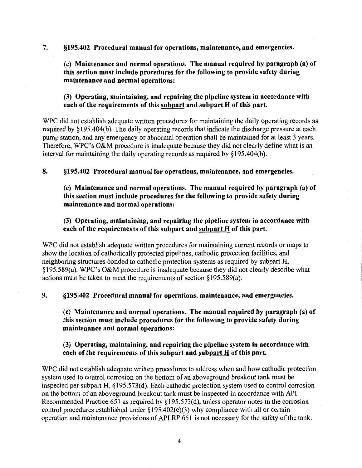7. §195.402 Procedural manual for operations, maintenance, and emergencies.

(c) Maintenance and normal operations. The manual required by paragraph (a) of this section must include procedures for the following to provide safety during maintenance and normal operations:

(3) Operating, maintaining, and repairing the pipeline system in accordance with each of the requirements of this subpart and subpart H of this part.

WPC did not establish adequate written procedures for maintaining the daily operating records as required by §195.404(b). The daily operating records that indicate the discharge pressure at each pump station, and any emergency or abnormal operation shall be maintained for at least 3 years. Therefore, WPC's O&M procedure is inadequate because they did not clearly define what is an interval for maintaining the daily operating records as required by  $§195.404(b)$ .

8. §195.402 Procedural manual for operations, maintenance, and emergencies.

(c) Maintenance and normal operations. The manual required by paragraph (a) of this section must include procedures for the following to provide safety during maintenance and normal operations:

### (3) Operating, maintaining, and repairing the pipeline system in accordance with each of the requirements of this subpart and subpart H of this part.

WPC did not establish adequate written procedures for maintaining current records or maps to show the location of cathodically protected pipelines, cathodic protection facilities, and neighboring structures bonded to cathodic protection systems as required by subpart H, §195.589(a). WPC's O&M procedure is inadequate because they did not clearly describe what actions must be taken to meet the requirements of section§ 195.589(a).

#### 9. §195.402 Procedural manual for operations, maintenance, and emergencies.

(c) Maintenance and normal operations. The manual required by paragraph (a) of this section must include procedures for the following to provide safety during maintenance and normal operations:

### (3) Operating, maintaining, and repairing the pipeline system in accordance with each of the requirements of this subpart and subpart H of this part.

WPC did not establish adequate written procedures to address when and how cathodic protection system used to control corrosion on the bottom of an aboveground breakout tank must be inspected per subpart H, § 195.573(d). Each cathodic protection system used to control corrosion on the bottom of an aboveground breakout tank must be inspected in accordance with API Recommended Practice 651 as required by§ 195.573(d), unless operator notes in the corrosion control procedures established under  $\S195.402(c)(3)$  why compliance with all or certain operation and maintenance provisions of API RP 651 is not necessary for the safety of the tank.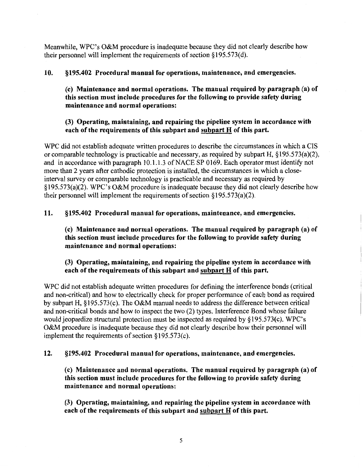Meanwhile, WPC's O&M procedure is inadequate because they did not clearly describe how their personnel will implement the requirements of section  $\S 195.573(d)$ .

### 10. §195.402 Procedural manual for operations, maintenance, and emergencies.

(c) Maintenance and normal operations. The manual required by paragraph (a) of this section must include procedures for the following to provide safety during maintenance and normal operations:

### (3) Operating, maintaining, and repairing the pipeline system in accordance with each of the requirements of this subpart and subpart  $H$  of this part.

WPC did not establish adequate written procedures to describe the circumstances in which a CIS or comparable technology is practicable and necessary, as required by subpart H, §195.573(a)(2), and in accordance with paragraph 10.1.1.3 of NACE SP 0169. Each operator must identify not more than 2 years after cathodic protection is installed, the circumstances in which a closeinterval survey or comparable technology is practicable and necessary as required by §195.573(a)(2). WPC's O&M procedure is inadequate because they did not clearly describe how their personnel will implement the requirements of section  $\S 195.573(a)(2)$ .

### 11. §195.402 Procedural manual for operations, maintenance, and emergencies.

(c) Maintenance and normal operations. The manual required by paragraph (a) of this section must include procedures for the following to provide safety during maintenance and normal operations:

### (3) Operating, maintaining, and repairing the pipeline system in accordance with each of the requirements of this subpart and  $\frac{\text{subpart}}{\text{H}}$  of this part.

WPC did not establish adequate written procedures for defining the interference bonds (critical and non-critical) and how to electrically check for proper performance of each bond as required by subpart H,  $\S 195.573(c)$ . The O&M manual needs to address the difference between critical and non-critical bonds and how to inspect the two (2) types. Interference Bond whose failure would jeopardize structural protection must be inspected as required by §195.573(c). WPC's O&M procedure is inadequate because they did not clearly describe how their personnel will implement the requirements of section§ 195.573(c).

### 12. §195.402 Procedural manual for operations, maintenance, and emergencies.

(c) Maintenance and normal operations. The manual required by paragraph (a) of this section must include procedures for the following to provide safety during maintenance and normal operations:

(3) Operating, maintaining, and repairing the pipeline system in accordance with each of the requirements of this subpart and  $\frac{\text{subpart}}{\text{H}}$  of this part.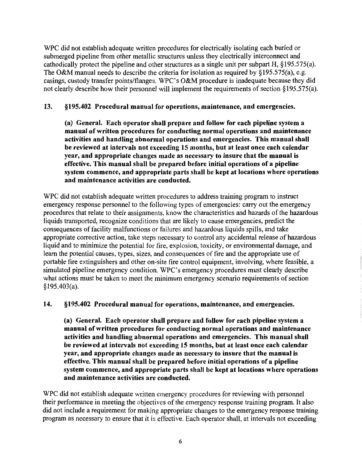WPC did not establish adequate written procedures for electrically isolating each buried or submerged pipeline from other metallic structures unless they electrically interconnect and cathodically protect the pipeline and other structures as a single unit per subpart H, §195.575(a). The O&M manual needs to describe the criteria for isolation as required by §195.575(a), e.g. casings, custody transfer points/flanges. WPC's O&M procedure is inadequate because they did not clearly describe how their personnel will implement the requirements of section § 195.575(a).

#### 13. §195.402 Procedural manual for operations, maintenance, and emergencies.

(a) General. Each operator shall prepare and follow for each pipeline system a manual of written procedures for conducting normal operations and maintenance activities and handling abnormal operations and emergencies. This manual shall be reviewed at intervals not exceeding 15 months, but at least once each calendar year, and appropriate changes made as necessary to insure that the manual is effective. This manual shall be prepared before initial operations of a pipeline system commence, and appropriate parts shall be kept at locations where operations and maintenance activities are conducted.

WPC did not establish adequate written procedures to address training program to instruct emergency response personnel to the following types of emergencies: carry out the emergency procedures that relate to their assignments, know the characteristics and hazards of the hazardous liquids transported, recognize conditions that are likely to cause emergencies, predict the consequences of facility malfunctions or failures and hazardous liquids spills, and take appropriate corrective action, take steps necessary to control any accidental release of hazardous liquid and to minimize the potential for fire, explosion, toxicity, or environmental damage, and learn the potential causes, types, sizes, and consequences of fire and the appropriate use of portable fire extinguishers and other on-site fire control equipment, involving, where feasible, a simulated pipeline emergency condition. WPC's emergency procedures must clearly describe what actions must be taken to meet the minimum emergency scenario requirements of section § 195.403(a).

14. §195.402 Procedural manual for operations, maintenance, and emergencies.

(a) General. Each operator shall prepare and follow for each pipeline system a manual of written procedures for conducting normal operations and maintenance activities and handling abnormal operations and emergencies. This manual shall be reviewed at intervals not exceeding 15 months, but at least once each calendar year, and appropriate changes made as necessary to insure that the manual is effective. This manual shall be prepared before initial operations of a pipeline system commence, and appropriate parts shall be kept at locations where operations and maintenance activities are conducted.

WPC did not establish adequate written emergency procedures for reviewing with personnel their performance in meeting the objectives of the emergency response training program. It also did not include a requirement for making appropriate changes to the emergency response training program as necessary to ensure that it is effective. Each operator shall, at intervals not exceeding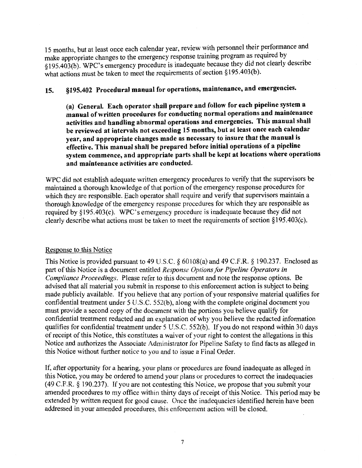15 months, but at least once each calendar year, review with personnel their performance and make appropriate changes to the emergency response training program as required by §195.403(b). WPC's emergency procedure is inadequate because they did not clearly describe what actions must be taken to meet the requirements of section  $§195.403(b)$ .

# 15. §195.402 Procedural manual for operations, maintenance, and emergencies.

(a) General. Each operator shall prepare and follow for each pipeline system a manual of written procedures for conducting normal operations and maintenance activities and handling abnormal operations and emergencies. This manual shall be reviewed at intervals not exceeding 15 months, but at least once each calendar year, and appropriate changes made as necessary to insure that the manual is effective. This manual shall be prepared before initial operations of a pipeline system commence, and appropriate parts shall be kept at locations where operations and maintenance activities are conducted.

WPC did not establish adequate written emergency procedures to verify that the supervisors be maintained a thorough knowledge of that portion of the emergency response procedures for which they are responsible. Each operator shall require and verify that supervisors maintain a thorough knowledge of the emergency response procedures for which they are responsible as required by §195.403(c). WPC's emergency procedure is inadequate because they did not clearly describe what actions must be taken to meet the requirements of section§ 195.403(c).

#### Response to this Notice

This Notice is provided pursuant to 49 U.S.C. § 60108(a) and 49 C.F.R. § 190.237. Enclosed as part of this Notice is a document entitled *Response Options for Pipeline Operators in Compliance Proceedings.* Please refer to this document and note the response options. Be advised that all material you submit in response to this enforcement action is subject to being made publicly available. If you believe that any portion of your responsive material qualifies for confidential treatment under 5 U.S.C. 552(b), along with the complete original document you must provide a second copy of the document with the portions you believe qualify for confidential treatment redacted and an explanation of why you believe the redacted information qualifies for confidential treatment under 5 U.S.C. 552(b). If you do not respond within 30 days of receipt of this Notice, this constitutes a waiver of your right to contest the allegations in this Notice and authorizes the Associate Administrator for Pipeline Safety to find facts as alleged in this Notice without further notice to you and to issue a Final Order.

If, after opportunity for a hearing, your plans or procedures are found inadequate as alleged in this Notice, you may be ordered to amend your plans or procedures to correct the inadequacies (49 C.F.R. § 190.237). If you are not contesting this Notice, we propose that you submit your amended procedures to my office within thirty days of receipt of this Notice. This period may be extended by written request for good cause. Once the inadequacies identified herein have been addressed in your amended procedures, this enforcement action will be closed.